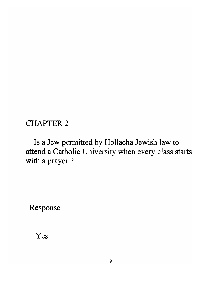## CHAPTER 2

Is a Jew permitted by Hollacha Jewish law to attend a Catholic University when every class starts with a prayer ?

Response

Yes.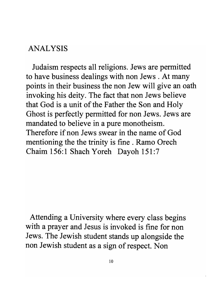## ANALYSIS

Judaism respects all religions. Jews are permitted to have business dealings with non Jews . At many points in their business the non Jew will give an oath invoking his deity. The fact that non Jews believe that God is a unit of the Father the Son and Holy Ghost is perfectly permitted for non Jews. Jews are mandated to believe in a pure monotheism. Therefore if non Jews swear in the name of God mentioning the the trinity is fine. Ramo Orech Chaim 156:1 Shach Yoreh Dayoh 151:7

Attending a University where every class begins with a prayer and Jesus is invoked is fine for non Jews. The Jewish student stands up alongside the non Jewish student as a sign of respect. Non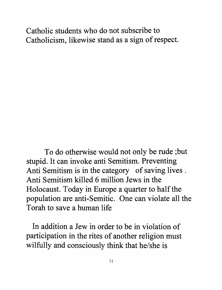Catholic students who do not subscribe to Catholicism, likewise stand as a sign of respect.

To do otherwise would not only be rude; but stupid. It can invoke anti Semitism. Preventing Anti Semitism is in the category of saving lives . Anti Semitism killed 6 million Jews in the Holocaust. Today in Europe a quarter to half the population are anti-Semitic. One can violate all the Torah to save a human life

In addition a Jew in order to be in violation of participation in the rites of another religion must wilfully and consciously think that he/she is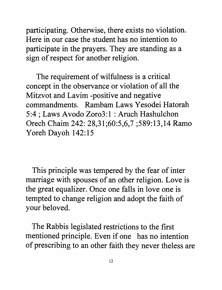participating. Otherwise, there exists no violation. Here in our case the student has no intention to participate in the prayers. They are standing as a sign of respect for another religion.

The requirement of wilfulness is a critical concept in the observance or violation of all the Mitzvot and Lavim -positive and negative commandments. Rambam Laws Yesodei Hatorah 5:4 ; Laws Avodo Zor03:1 : Aruch Hashulchon Orech Chaim 242: 28,31;60:5,6,7 ;589:13,14 Ramo Yoreh Dayoh 142:15

This principle was tempered by the fear of inter marriage with spouses of an other religion. Love is the great equalizer. Once one falls in love one is tempted to change religion and adopt the faith of your beloved.

The Rabbis legislated restrictions to the first mentioned principle. Even if one has no intention of prescribing to an other faith they never theless are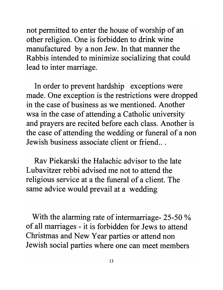not permitted to enter the house of worship of an other religion. One is forbidden to drink wine manufactured by a non Jew. In that manner the Rabbis intended to minimize socializing that could lead to inter marriage.

In order to prevent hardship exceptions were made. One exception is the restrictions were dropped in the case of business as we mentioned. Another wsa in the case of attending a Catholic university and prayers are recited before each class. Another is the case of attending the wedding or funeral of a non Jewish business associate client or friend.. .

Rav Piekarski the Halachic advisor to the late Lubavitzer rebbi advised me not to attend the religious service at a the funeral of a client. The same advice would prevail at a wedding

With the alarming rate of intermarriage- 25-50 % of all marriages - it is forbidden for Jews to attend Christmas and New Year parties or attend non Jewish social parties where one can meet members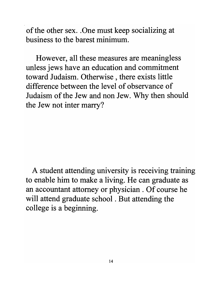of the other sex. . One must keep socializing at business to the barest minimum.

However, all these measures are meaningless unless jews have an education and commitment toward Judaism. Otherwise, there exists little difference between the level of observance of Judaism of the Jew and non Jew. Why then should the Jew not inter marry?

A student attending university is receiving training to enable him to make a living. He can graduate as an accountant attorney or physician . Of course he will attend graduate school . But attending the college is a beginning.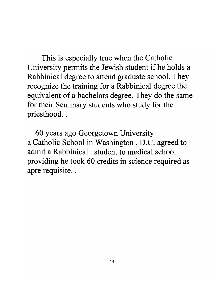This is especially true when the Catholic University permits the Jewish student if he holds a Rabbinical degree to attend graduate school. They recognize the training for a Rabbinical degree the equivalent of a bachelors degree. They do the same for their Seminary students who study for the priesthood..

60 years ago Georgetown University a Catholic School in Washington, D.C. agreed to admit a Rabbinical student to medical school providing he took 60 credits in science required as apre requisite. .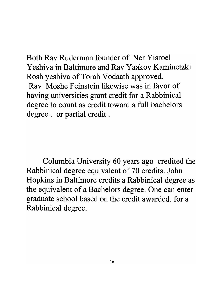Both Rav Ruderman founder of Ner Yisroel Yeshiva in Baltimore and Rav Yaakov Kaminetzki Rosh yeshiva of Torah Vodaath approved. Rav Moshe Feinstein likewise was in favor of having universities grant credit for a Rabbinical degree to count as credit toward a full bachelors degree. or partial credit .

Columbia University 60 years ago credited the Rabbinical degree equivalent of 70 credits. John Hopkins in Baltimore credits a Rabbinical degree as the equivalent of a Bachelors degree. One can enter graduate school based on the credit awarded. for a Rabbinical degree.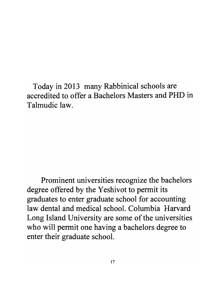Today in 2013 many Rabbinical schools are accredited to offer a Bachelors Masters and PHD in Talmudic law.

Prominent universities recognize the bachelors degree offered by the Yeshivot to permit its graduates to enter graduate school for accounting law dental and medical school. Columbia Harvard Long Island University are some of the universities who will permit one having a bachelors degree to enter their graduate school.